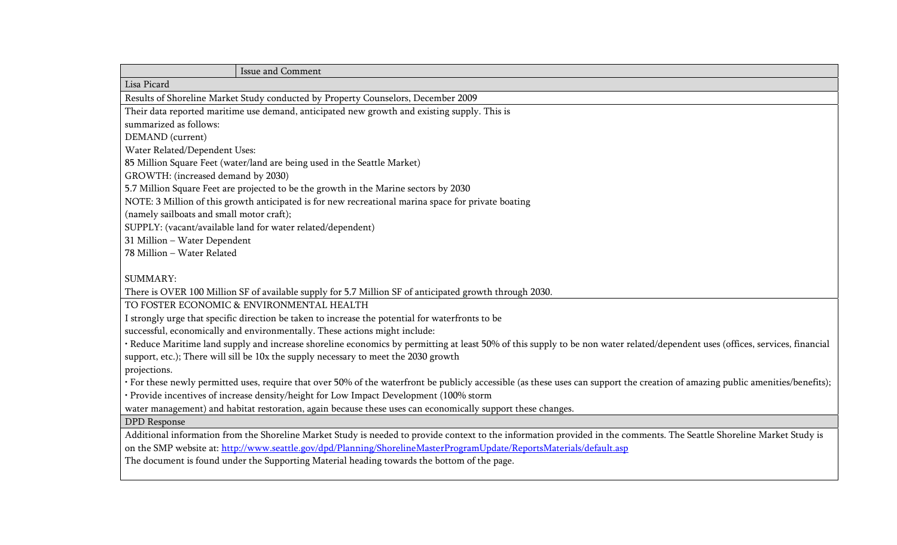| Issue and Comment                                                                                                                                                               |
|---------------------------------------------------------------------------------------------------------------------------------------------------------------------------------|
| Lisa Picard                                                                                                                                                                     |
| Results of Shoreline Market Study conducted by Property Counselors, December 2009                                                                                               |
| Their data reported maritime use demand, anticipated new growth and existing supply. This is                                                                                    |
| summarized as follows:                                                                                                                                                          |
| DEMAND (current)                                                                                                                                                                |
| Water Related/Dependent Uses:                                                                                                                                                   |
| 85 Million Square Feet (water/land are being used in the Seattle Market)                                                                                                        |
| GROWTH: (increased demand by 2030)                                                                                                                                              |
| 5.7 Million Square Feet are projected to be the growth in the Marine sectors by 2030                                                                                            |
| NOTE: 3 Million of this growth anticipated is for new recreational marina space for private boating                                                                             |
| (namely sailboats and small motor craft);                                                                                                                                       |
| SUPPLY: (vacant/available land for water related/dependent)                                                                                                                     |
| 31 Million - Water Dependent                                                                                                                                                    |
| 78 Million - Water Related                                                                                                                                                      |
|                                                                                                                                                                                 |
| <b>SUMMARY:</b>                                                                                                                                                                 |
| There is OVER 100 Million SF of available supply for 5.7 Million SF of anticipated growth through 2030.                                                                         |
| TO FOSTER ECONOMIC & ENVIRONMENTAL HEALTH                                                                                                                                       |
| I strongly urge that specific direction be taken to increase the potential for waterfronts to be                                                                                |
| successful, economically and environmentally. These actions might include:                                                                                                      |
| · Reduce Maritime land supply and increase shoreline economics by permitting at least 50% of this supply to be non water related/dependent uses (offices, services, financial   |
| support, etc.); There will sill be 10x the supply necessary to meet the 2030 growth                                                                                             |
| projections.                                                                                                                                                                    |
| · For these newly permitted uses, require that over 50% of the waterfront be publicly accessible (as these uses can support the creation of amazing public amenities/benefits); |
| · Provide incentives of increase density/height for Low Impact Development (100% storm                                                                                          |
| water management) and habitat restoration, again because these uses can economically support these changes.                                                                     |
| <b>DPD</b> Response                                                                                                                                                             |
| Additional information from the Shoreline Market Study is needed to provide context to the information provided in the comments. The Seattle Shoreline Market Study is          |
| on the SMP website at: http://www.seattle.gov/dpd/Planning/ShorelineMasterProgramUpdate/ReportsMaterials/default.asp                                                            |
| The document is found under the Supporting Material heading towards the bottom of the page.                                                                                     |
|                                                                                                                                                                                 |